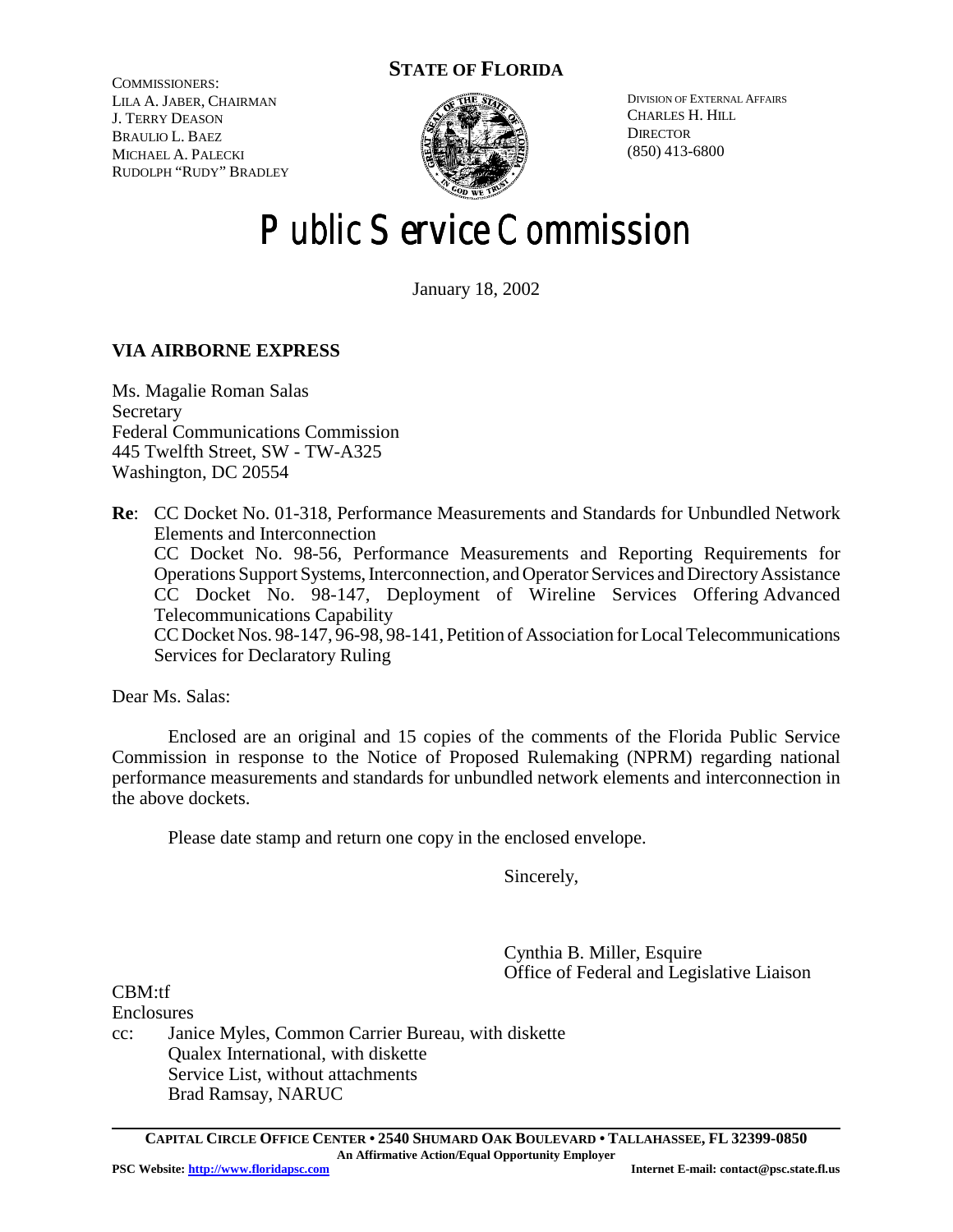## **STATE OF FLORIDA**

COMMISSIONERS: LILA A. JABER, CHAIRMAN J. TERRY DEASON BRAULIO L. BAEZ MICHAEL A. PALECKI RUDOLPH "RUDY" BRADLEY



DIVISION OF EXTERNAL AFFAIRS CHARLES H. HILL **DIRECTOR** (850) 413-6800

# Public Service Commission

January 18, 2002

## **VIA AIRBORNE EXPRESS**

Ms. Magalie Roman Salas **Secretary** Federal Communications Commission 445 Twelfth Street, SW - TW-A325 Washington, DC 20554

**Re**: CC Docket No. 01-318, Performance Measurements and Standards for Unbundled Network Elements and Interconnection CC Docket No. 98-56, Performance Measurements and Reporting Requirements for Operations Support Systems, Interconnection, and Operator Services and Directory Assistance CC Docket No. 98-147, Deployment of Wireline Services Offering Advanced Telecommunications Capability CC Docket Nos. 98-147, 96-98, 98-141, Petition of Association for Local Telecommunications Services for Declaratory Ruling

Dear Ms. Salas:

Enclosed are an original and 15 copies of the comments of the Florida Public Service Commission in response to the Notice of Proposed Rulemaking (NPRM) regarding national performance measurements and standards for unbundled network elements and interconnection in the above dockets.

Please date stamp and return one copy in the enclosed envelope.

Sincerely,

Cynthia B. Miller, Esquire Office of Federal and Legislative Liaison

CBM:tf

**Enclosures** 

cc: Janice Myles, Common Carrier Bureau, with diskette Qualex International, with diskette Service List, without attachments Brad Ramsay, NARUC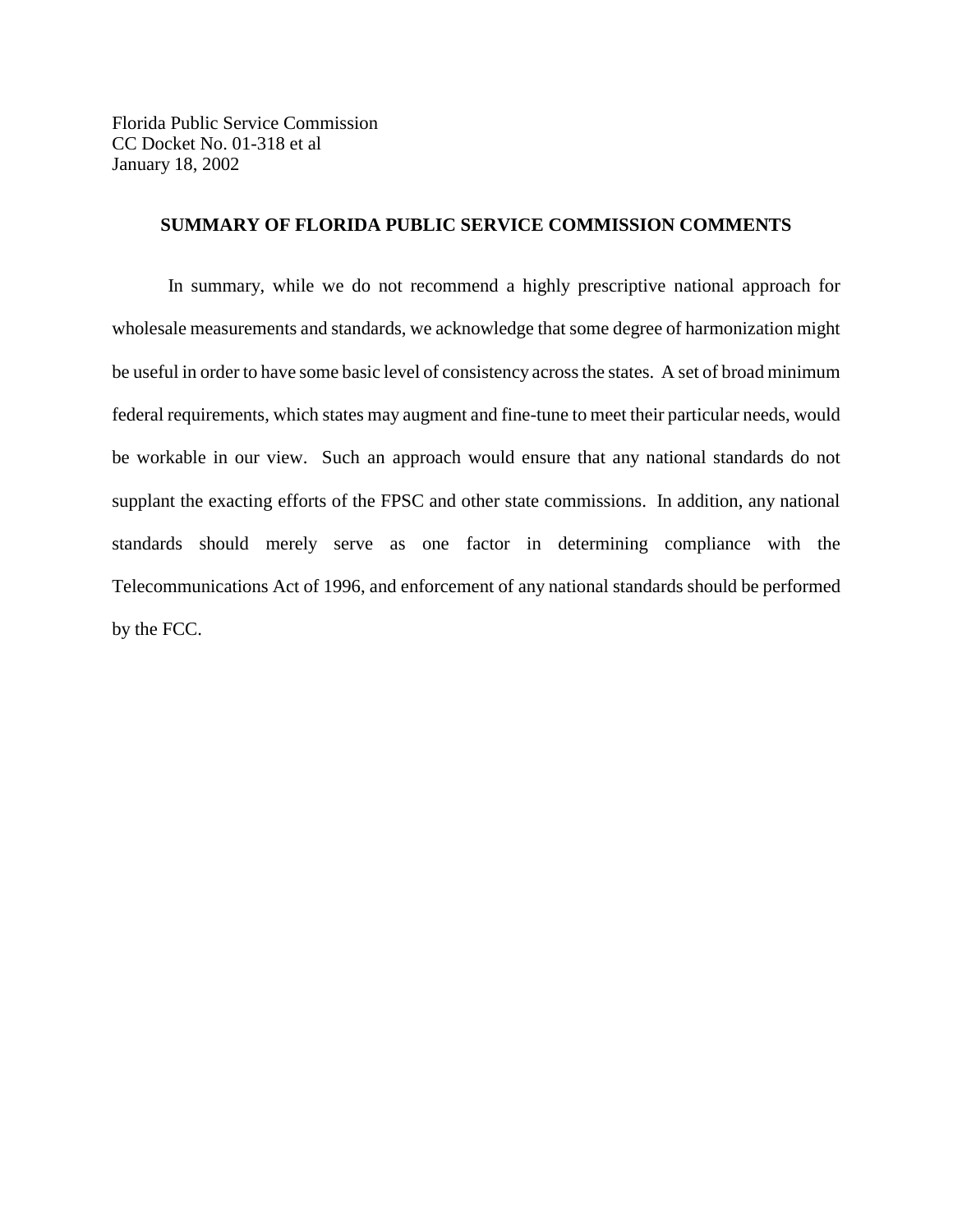Florida Public Service Commission CC Docket No. 01-318 et al January 18, 2002

### **SUMMARY OF FLORIDA PUBLIC SERVICE COMMISSION COMMENTS**

In summary, while we do not recommend a highly prescriptive national approach for wholesale measurements and standards, we acknowledge that some degree of harmonization might be useful in order to have some basic level of consistency across the states. A set of broad minimum federal requirements, which states may augment and fine-tune to meet their particular needs, would be workable in our view. Such an approach would ensure that any national standards do not supplant the exacting efforts of the FPSC and other state commissions. In addition, any national standards should merely serve as one factor in determining compliance with the Telecommunications Act of 1996, and enforcement of any national standards should be performed by the FCC.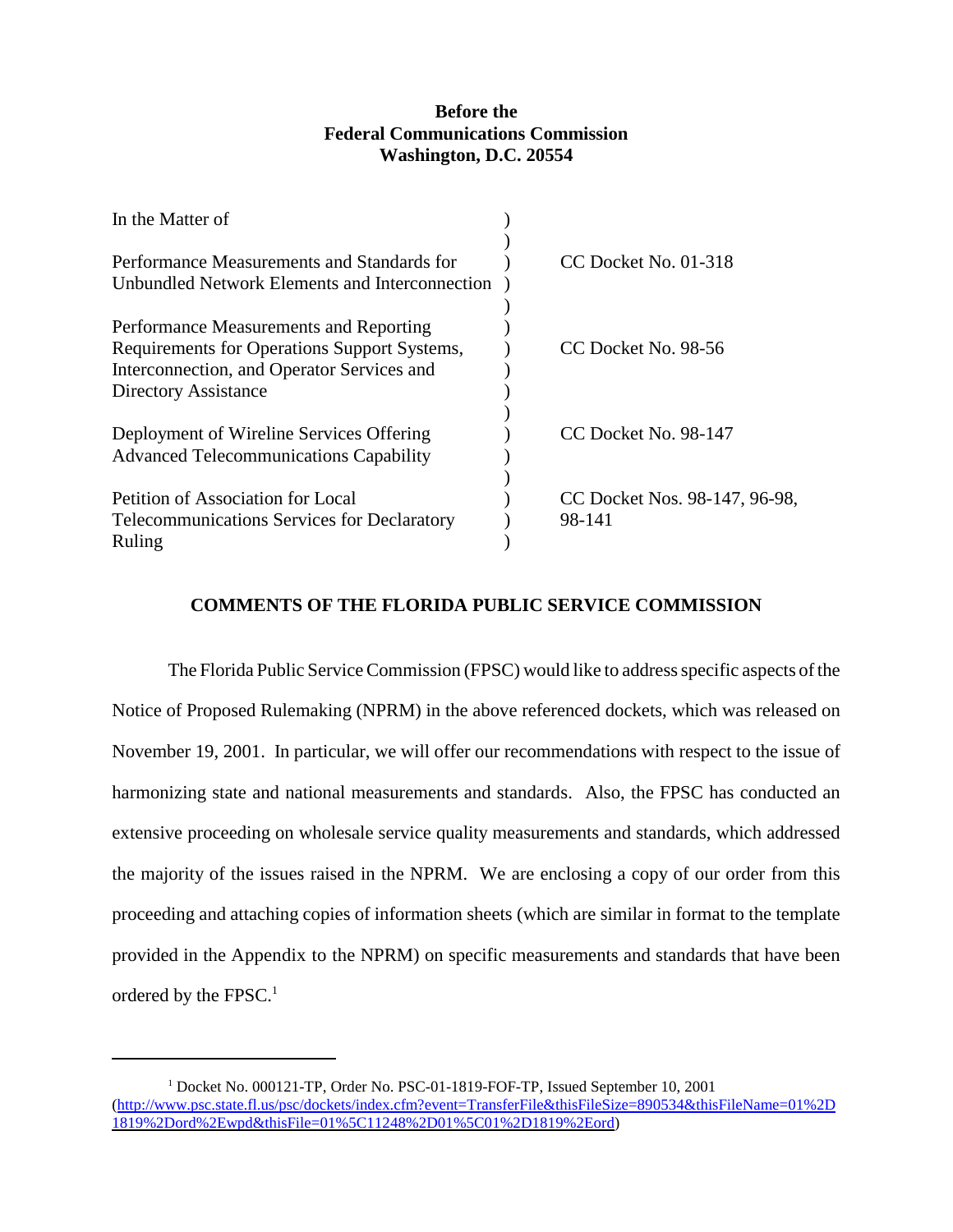## **Before the Federal Communications Commission Washington, D.C. 20554**

| In the Matter of                                   |                               |
|----------------------------------------------------|-------------------------------|
| Performance Measurements and Standards for         | CC Docket No. 01-318          |
| Unbundled Network Elements and Interconnection     |                               |
|                                                    |                               |
| Performance Measurements and Reporting             |                               |
| Requirements for Operations Support Systems,       | CC Docket No. 98-56           |
| Interconnection, and Operator Services and         |                               |
| <b>Directory Assistance</b>                        |                               |
|                                                    |                               |
| Deployment of Wireline Services Offering           | CC Docket No. 98-147          |
| <b>Advanced Telecommunications Capability</b>      |                               |
|                                                    |                               |
| Petition of Association for Local                  | CC Docket Nos. 98-147, 96-98, |
| <b>Telecommunications Services for Declaratory</b> | 98-141                        |
| Ruling                                             |                               |

## **COMMENTS OF THE FLORIDA PUBLIC SERVICE COMMISSION**

The Florida Public Service Commission (FPSC) would like to address specific aspects of the Notice of Proposed Rulemaking (NPRM) in the above referenced dockets, which was released on November 19, 2001. In particular, we will offer our recommendations with respect to the issue of harmonizing state and national measurements and standards. Also, the FPSC has conducted an extensive proceeding on wholesale service quality measurements and standards, which addressed the majority of the issues raised in the NPRM. We are enclosing a copy of our order from this proceeding and attaching copies of information sheets (which are similar in format to the template provided in the Appendix to the NPRM) on specific measurements and standards that have been ordered by the FPSC.<sup>1</sup>

<sup>&</sup>lt;sup>1</sup> Docket No. 000121-TP, Order No. PSC-01-1819-FOF-TP, Issued September 10, 2001 (http://www.psc.state.fl.us/psc/dockets/index.cfm?event=TransferFile&thisFileSize=890534&thisFileName=01%2D 1819%2Dord%2Ewpd&thisFile=01%5C11248%2D01%5C01%2D1819%2Eord)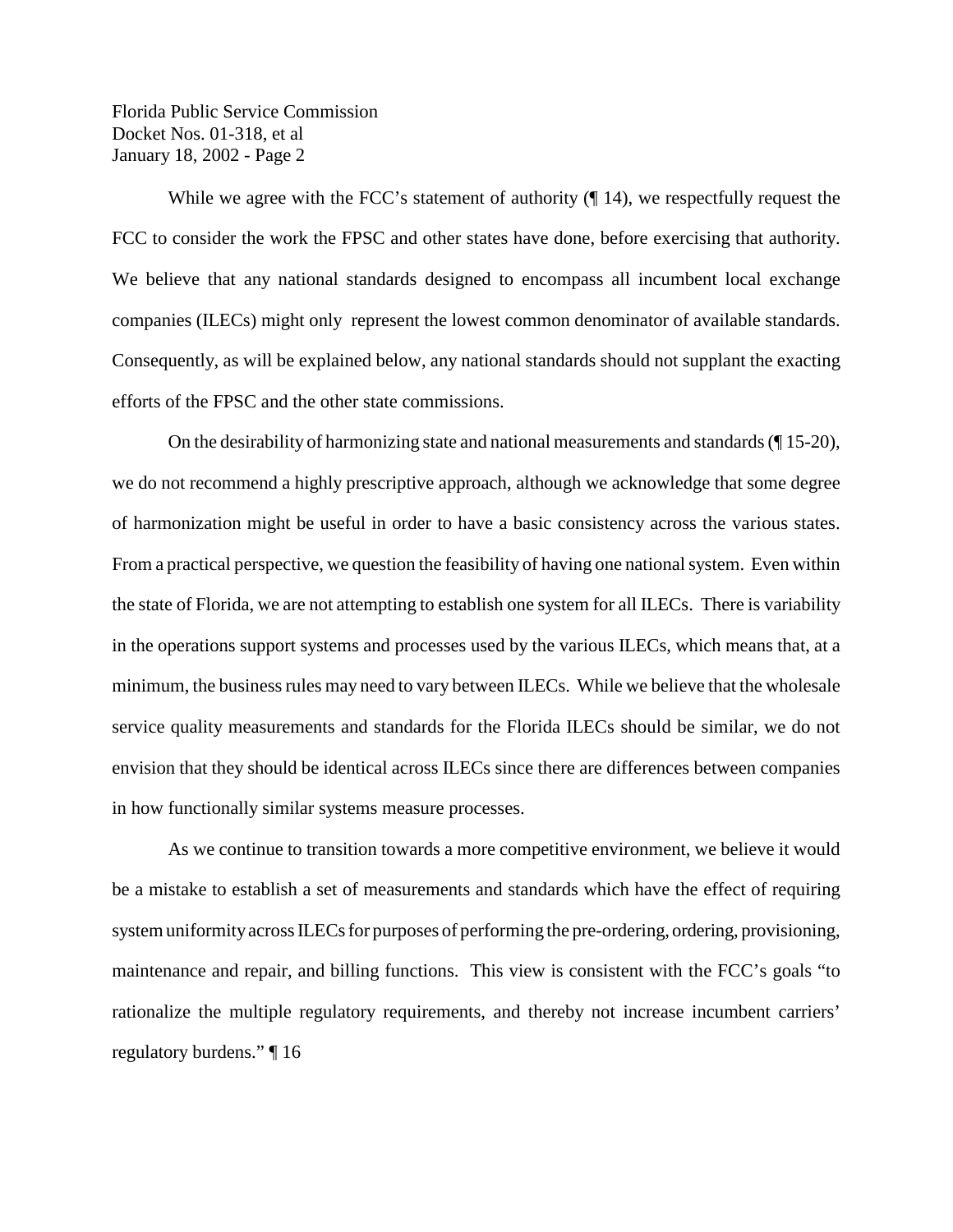While we agree with the FCC's statement of authority ( $\P$  14), we respectfully request the FCC to consider the work the FPSC and other states have done, before exercising that authority. We believe that any national standards designed to encompass all incumbent local exchange companies (ILECs) might only represent the lowest common denominator of available standards. Consequently, as will be explained below, any national standards should not supplant the exacting efforts of the FPSC and the other state commissions.

On the desirability of harmonizing state and national measurements and standards (¶ 15-20), we do not recommend a highly prescriptive approach, although we acknowledge that some degree of harmonization might be useful in order to have a basic consistency across the various states. From a practical perspective, we question the feasibility of having one national system. Even within the state of Florida, we are not attempting to establish one system for all ILECs. There is variability in the operations support systems and processes used by the various ILECs, which means that, at a minimum, the business rules may need to vary between ILECs. While we believe that the wholesale service quality measurements and standards for the Florida ILECs should be similar, we do not envision that they should be identical across ILECs since there are differences between companies in how functionally similar systems measure processes.

As we continue to transition towards a more competitive environment, we believe it would be a mistake to establish a set of measurements and standards which have the effect of requiring system uniformity across ILECs for purposes of performing the pre-ordering, ordering, provisioning, maintenance and repair, and billing functions. This view is consistent with the FCC's goals "to rationalize the multiple regulatory requirements, and thereby not increase incumbent carriers' regulatory burdens." ¶ 16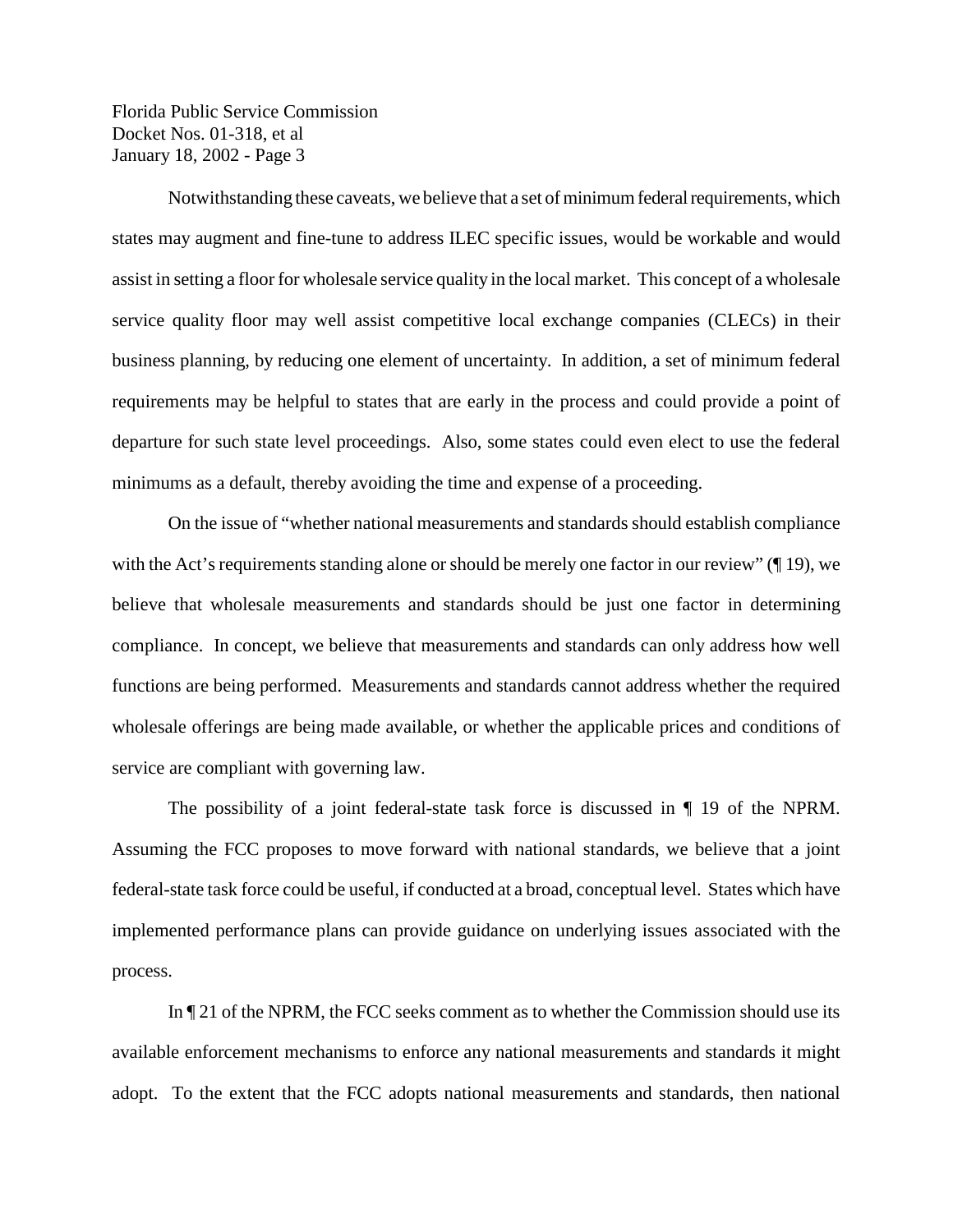Notwithstanding these caveats, we believe that a set of minimum federal requirements, which states may augment and fine-tune to address ILEC specific issues, would be workable and would assist in setting a floor for wholesale service quality in the local market. This concept of a wholesale service quality floor may well assist competitive local exchange companies (CLECs) in their business planning, by reducing one element of uncertainty. In addition, a set of minimum federal requirements may be helpful to states that are early in the process and could provide a point of departure for such state level proceedings. Also, some states could even elect to use the federal minimums as a default, thereby avoiding the time and expense of a proceeding.

On the issue of "whether national measurements and standards should establish compliance with the Act's requirements standing alone or should be merely one factor in our review" ( $\parallel$  19), we believe that wholesale measurements and standards should be just one factor in determining compliance. In concept, we believe that measurements and standards can only address how well functions are being performed. Measurements and standards cannot address whether the required wholesale offerings are being made available, or whether the applicable prices and conditions of service are compliant with governing law.

The possibility of a joint federal-state task force is discussed in ¶ 19 of the NPRM. Assuming the FCC proposes to move forward with national standards, we believe that a joint federal-state task force could be useful, if conducted at a broad, conceptual level. States which have implemented performance plans can provide guidance on underlying issues associated with the process.

In ¶ 21 of the NPRM, the FCC seeks comment as to whether the Commission should use its available enforcement mechanisms to enforce any national measurements and standards it might adopt. To the extent that the FCC adopts national measurements and standards, then national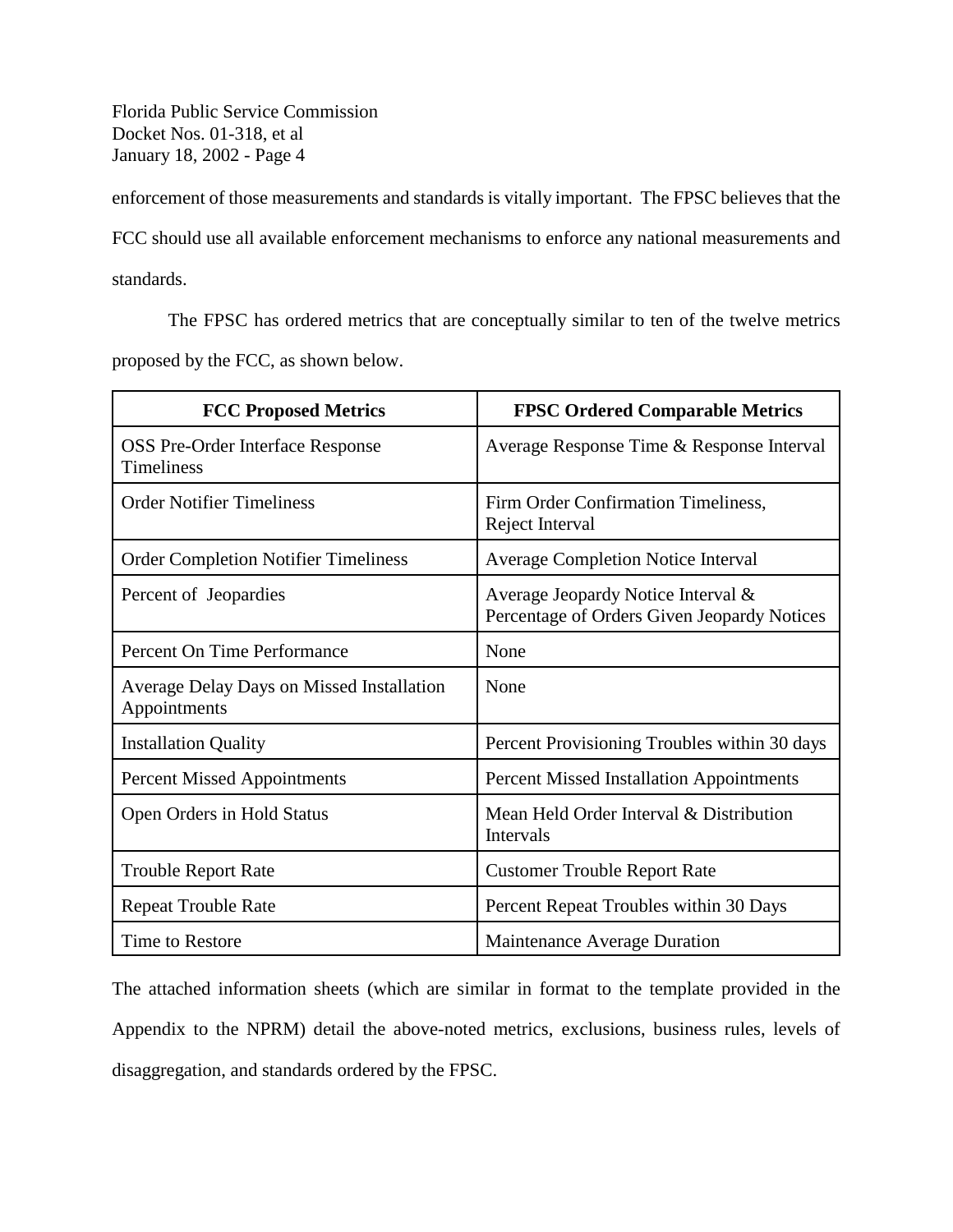enforcement of those measurements and standards is vitally important. The FPSC believes that the FCC should use all available enforcement mechanisms to enforce any national measurements and standards.

The FPSC has ordered metrics that are conceptually similar to ten of the twelve metrics proposed by the FCC, as shown below.

| <b>FCC Proposed Metrics</b>                                      | <b>FPSC Ordered Comparable Metrics</b>                                            |
|------------------------------------------------------------------|-----------------------------------------------------------------------------------|
| <b>OSS Pre-Order Interface Response</b><br><b>Timeliness</b>     | Average Response Time & Response Interval                                         |
| <b>Order Notifier Timeliness</b>                                 | Firm Order Confirmation Timeliness,<br>Reject Interval                            |
| <b>Order Completion Notifier Timeliness</b>                      | <b>Average Completion Notice Interval</b>                                         |
| Percent of Jeopardies                                            | Average Jeopardy Notice Interval &<br>Percentage of Orders Given Jeopardy Notices |
| Percent On Time Performance                                      | None                                                                              |
| <b>Average Delay Days on Missed Installation</b><br>Appointments | None                                                                              |
| <b>Installation Quality</b>                                      | Percent Provisioning Troubles within 30 days                                      |
| <b>Percent Missed Appointments</b>                               | <b>Percent Missed Installation Appointments</b>                                   |
| Open Orders in Hold Status                                       | Mean Held Order Interval & Distribution<br>Intervals                              |
| <b>Trouble Report Rate</b>                                       | <b>Customer Trouble Report Rate</b>                                               |
| <b>Repeat Trouble Rate</b>                                       | Percent Repeat Troubles within 30 Days                                            |
| Time to Restore                                                  | <b>Maintenance Average Duration</b>                                               |

The attached information sheets (which are similar in format to the template provided in the Appendix to the NPRM) detail the above-noted metrics, exclusions, business rules, levels of disaggregation, and standards ordered by the FPSC.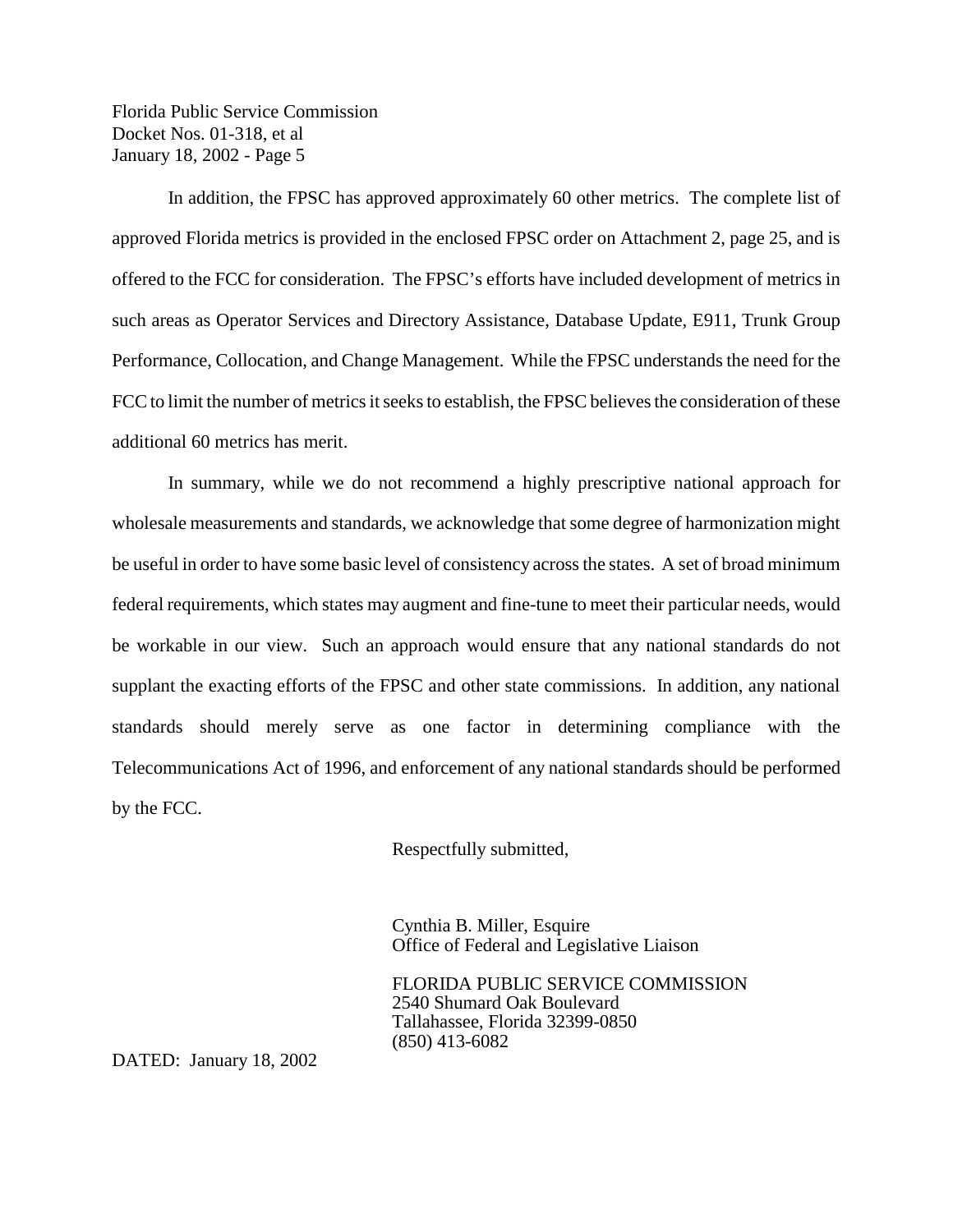In addition, the FPSC has approved approximately 60 other metrics. The complete list of approved Florida metrics is provided in the enclosed FPSC order on Attachment 2, page 25, and is offered to the FCC for consideration. The FPSC's efforts have included development of metrics in such areas as Operator Services and Directory Assistance, Database Update, E911, Trunk Group Performance, Collocation, and Change Management. While the FPSC understands the need for the FCC to limit the number of metrics it seeks to establish, the FPSC believes the consideration of these additional 60 metrics has merit.

In summary, while we do not recommend a highly prescriptive national approach for wholesale measurements and standards, we acknowledge that some degree of harmonization might be useful in order to have some basic level of consistency across the states. A set of broad minimum federal requirements, which states may augment and fine-tune to meet their particular needs, would be workable in our view. Such an approach would ensure that any national standards do not supplant the exacting efforts of the FPSC and other state commissions. In addition, any national standards should merely serve as one factor in determining compliance with the Telecommunications Act of 1996, and enforcement of any national standards should be performed by the FCC.

Respectfully submitted,

Cynthia B. Miller, Esquire Office of Federal and Legislative Liaison

FLORIDA PUBLIC SERVICE COMMISSION 2540 Shumard Oak Boulevard Tallahassee, Florida 32399-0850 (850) 413-6082

DATED: January 18, 2002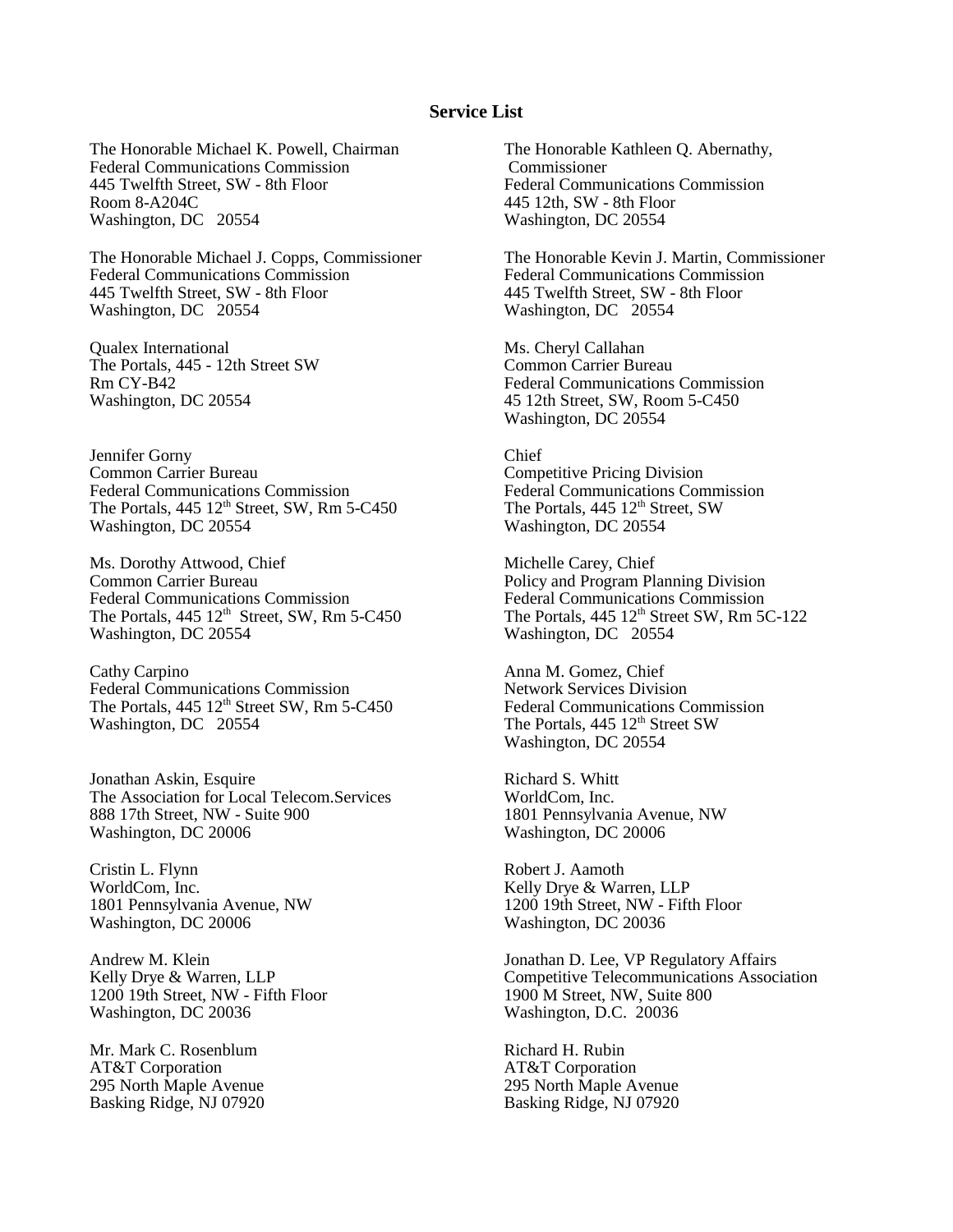#### **Service List**

The Honorable Michael K. Powell, Chairman Federal Communications Commission 445 Twelfth Street, SW - 8th Floor Room 8-A204C Washington, DC 20554

The Honorable Michael J. Copps, Commissioner Federal Communications Commission 445 Twelfth Street, SW - 8th Floor Washington, DC 20554

Qualex International The Portals, 445 - 12th Street SW Rm CY-B42 Washington, DC 20554

Jennifer Gorny Common Carrier Bureau Federal Communications Commission The Portals,  $445 \frac{12^{\text{th}}}{\text{Street, SW, Rm}}$  5-C450 Washington, DC 20554

Ms. Dorothy Attwood, Chief Common Carrier Bureau Federal Communications Commission The Portals,  $445 \frac{12^{th}}{3}$  Street, SW, Rm 5-C450 Washington, DC 20554

Cathy Carpino Federal Communications Commission The Portals,  $445 \frac{12^{\text{th}}}{\text{Street}}$  SW, Rm 5-C450 Washington, DC 20554

Jonathan Askin, Esquire The Association for Local Telecom.Services 888 17th Street, NW - Suite 900 Washington, DC 20006

Cristin L. Flynn WorldCom, Inc. 1801 Pennsylvania Avenue, NW Washington, DC 20006

Andrew M. Klein Kelly Drye & Warren, LLP 1200 19th Street, NW - Fifth Floor Washington, DC 20036

Mr. Mark C. Rosenblum AT&T Corporation 295 North Maple Avenue Basking Ridge, NJ 07920 The Honorable Kathleen Q. Abernathy, Commissioner Federal Communications Commission 445 12th, SW - 8th Floor Washington, DC 20554

The Honorable Kevin J. Martin, Commissioner Federal Communications Commission 445 Twelfth Street, SW - 8th Floor Washington, DC 20554

Ms. Cheryl Callahan Common Carrier Bureau Federal Communications Commission 45 12th Street, SW, Room 5-C450 Washington, DC 20554

Chief Competitive Pricing Division Federal Communications Commission The Portals, 445 12<sup>th</sup> Street, SW Washington, DC 20554

Michelle Carey, Chief Policy and Program Planning Division Federal Communications Commission The Portals,  $445 \frac{12^{\text{th}}}{\text{Street}}$  SW, Rm 5C-122 Washington, DC 20554

Anna M. Gomez, Chief Network Services Division Federal Communications Commission The Portals, 445 12<sup>th</sup> Street SW Washington, DC 20554

Richard S. Whitt WorldCom, Inc. 1801 Pennsylvania Avenue, NW Washington, DC 20006

Robert J. Aamoth Kelly Drye & Warren, LLP 1200 19th Street, NW - Fifth Floor Washington, DC 20036

Jonathan D. Lee, VP Regulatory Affairs Competitive Telecommunications Association 1900 M Street, NW, Suite 800 Washington, D.C. 20036

Richard H. Rubin AT&T Corporation 295 North Maple Avenue Basking Ridge, NJ 07920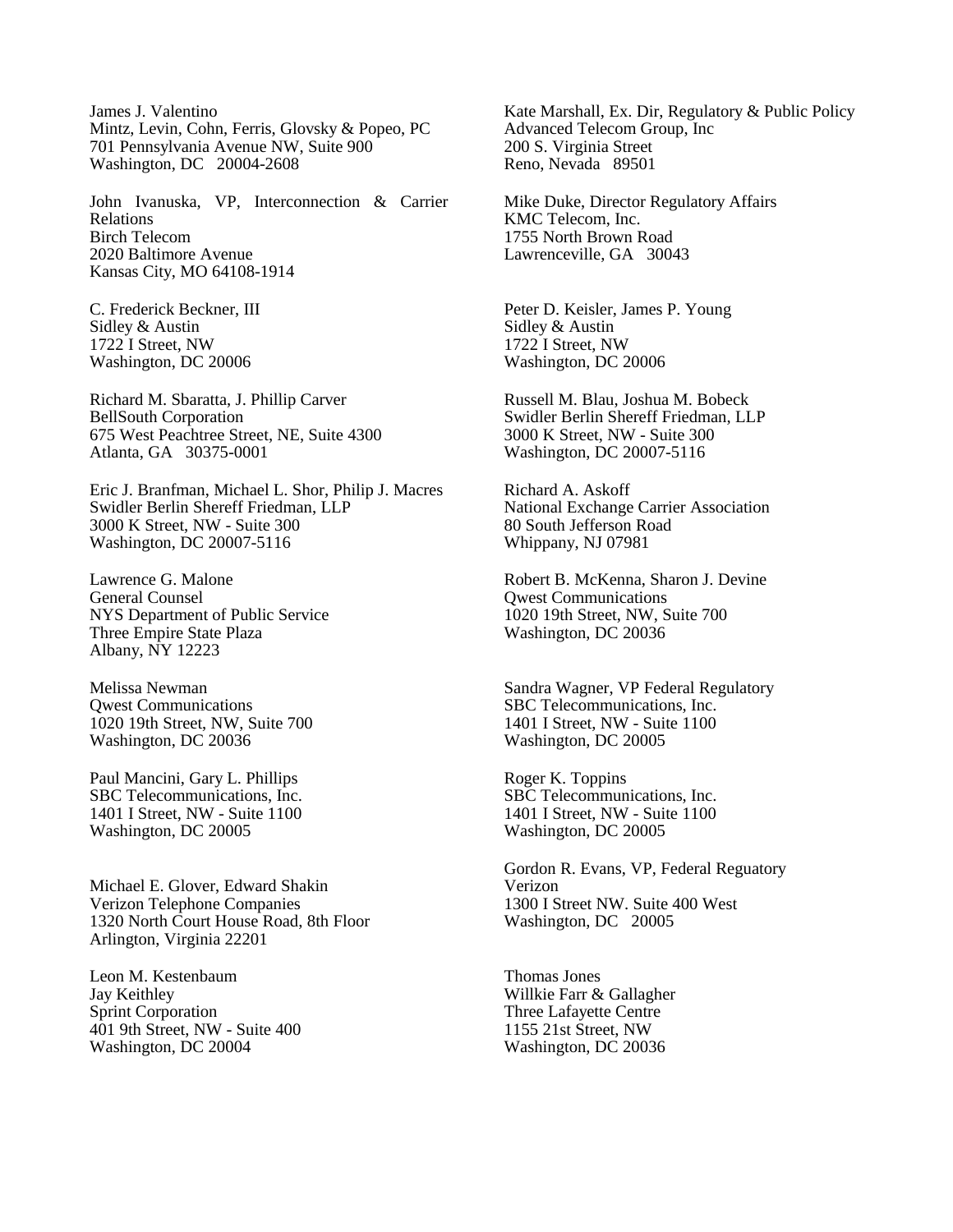James J. Valentino Mintz, Levin, Cohn, Ferris, Glovsky & Popeo, PC 701 Pennsylvania Avenue NW, Suite 900 Washington, DC 20004-2608

John Ivanuska, VP, Interconnection & Carrier Relations Birch Telecom 2020 Baltimore Avenue Kansas City, MO 64108-1914

C. Frederick Beckner, III Sidley & Austin 1722 I Street, NW Washington, DC 20006

Richard M. Sbaratta, J. Phillip Carver BellSouth Corporation 675 West Peachtree Street, NE, Suite 4300 Atlanta, GA 30375-0001

Eric J. Branfman, Michael L. Shor, Philip J. Macres Swidler Berlin Shereff Friedman, LLP 3000 K Street, NW - Suite 300 Washington, DC 20007-5116

Lawrence G. Malone General Counsel NYS Department of Public Service Three Empire State Plaza Albany, NY 12223

Melissa Newman Qwest Communications 1020 19th Street, NW, Suite 700 Washington, DC 20036

Paul Mancini, Gary L. Phillips SBC Telecommunications, Inc. 1401 I Street, NW - Suite 1100 Washington, DC 20005

Michael E. Glover, Edward Shakin Verizon Telephone Companies 1320 North Court House Road, 8th Floor Arlington, Virginia 22201

Leon M. Kestenbaum Jay Keithley Sprint Corporation 401 9th Street, NW - Suite 400 Washington, DC 20004

Kate Marshall, Ex. Dir, Regulatory & Public Policy Advanced Telecom Group, Inc 200 S. Virginia Street Reno, Nevada 89501

Mike Duke, Director Regulatory Affairs KMC Telecom, Inc. 1755 North Brown Road Lawrenceville, GA 30043

Peter D. Keisler, James P. Young Sidley & Austin 1722 I Street, NW Washington, DC 20006

Russell M. Blau, Joshua M. Bobeck Swidler Berlin Shereff Friedman, LLP 3000 K Street, NW - Suite 300 Washington, DC 20007-5116

Richard A. Askoff National Exchange Carrier Association 80 South Jefferson Road Whippany, NJ 07981

Robert B. McKenna, Sharon J. Devine Qwest Communications 1020 19th Street, NW, Suite 700 Washington, DC 20036

Sandra Wagner, VP Federal Regulatory SBC Telecommunications, Inc. 1401 I Street, NW - Suite 1100 Washington, DC 20005

Roger K. Toppins SBC Telecommunications, Inc. 1401 I Street, NW - Suite 1100 Washington, DC 20005

Gordon R. Evans, VP, Federal Reguatory Verizon 1300 I Street NW. Suite 400 West Washington, DC 20005

Thomas Jones Willkie Farr & Gallagher Three Lafayette Centre 1155 21st Street, NW Washington, DC 20036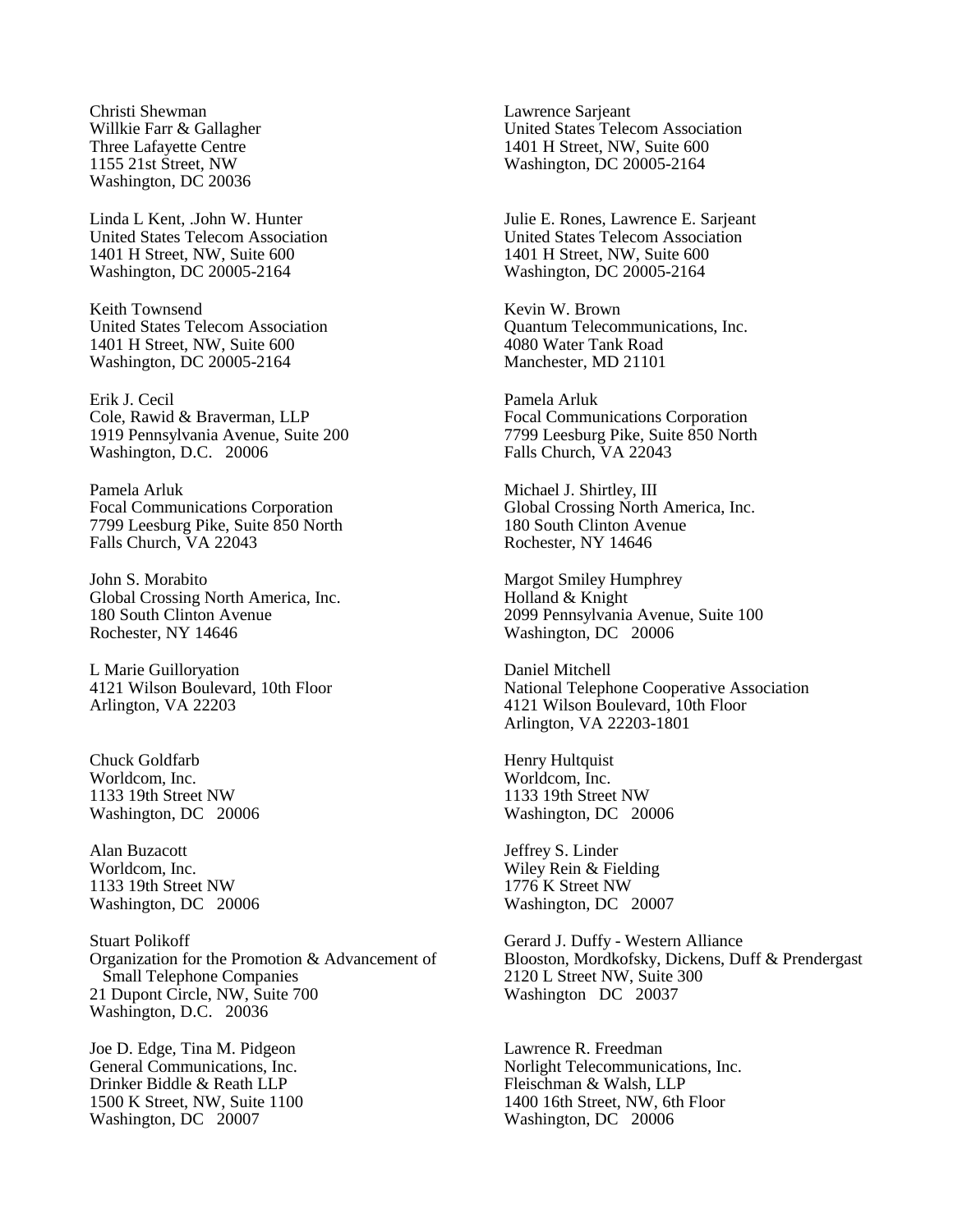Christi Shewman Willkie Farr & Gallagher Three Lafayette Centre 1155 21st Street, NW Washington, DC 20036

Linda L Kent, .John W. Hunter United States Telecom Association 1401 H Street, NW, Suite 600 Washington, DC 20005-2164

Keith Townsend United States Telecom Association 1401 H Street, NW, Suite 600 Washington, DC 20005-2164

Erik J. Cecil Cole, Rawid & Braverman, LLP 1919 Pennsylvania Avenue, Suite 200 Washington, D.C. 20006

Pamela Arluk Focal Communications Corporation 7799 Leesburg Pike, Suite 850 North Falls Church, VA 22043

John S. Morabito Global Crossing North America, Inc. 180 South Clinton Avenue Rochester, NY 14646

L Marie Guilloryation 4121 Wilson Boulevard, 10th Floor Arlington, VA 22203

Chuck Goldfarb Worldcom, Inc. 1133 19th Street NW Washington, DC 20006

Alan Buzacott Worldcom, Inc. 1133 19th Street NW Washington, DC 20006

Stuart Polikoff Organization for the Promotion & Advancement of Small Telephone Companies 21 Dupont Circle, NW, Suite 700 Washington, D.C. 20036

Joe D. Edge, Tina M. Pidgeon General Communications, Inc. Drinker Biddle & Reath LLP 1500 K Street, NW, Suite 1100 Washington, DC 20007

Lawrence Sarjeant United States Telecom Association 1401 H Street, NW, Suite 600 Washington, DC 20005-2164

Julie E. Rones, Lawrence E. Sarjeant United States Telecom Association 1401 H Street, NW, Suite 600 Washington, DC 20005-2164

Kevin W. Brown Quantum Telecommunications, Inc. 4080 Water Tank Road Manchester, MD 21101

Pamela Arluk Focal Communications Corporation 7799 Leesburg Pike, Suite 850 North Falls Church, VA 22043

Michael J. Shirtley, III Global Crossing North America, Inc. 180 South Clinton Avenue Rochester, NY 14646

Margot Smiley Humphrey Holland & Knight 2099 Pennsylvania Avenue, Suite 100 Washington, DC 20006

Daniel Mitchell National Telephone Cooperative Association 4121 Wilson Boulevard, 10th Floor Arlington, VA 22203-1801

Henry Hultquist Worldcom, Inc. 1133 19th Street NW Washington, DC 20006

Jeffrey S. Linder Wiley Rein & Fielding 1776 K Street NW Washington, DC 20007

Gerard J. Duffy - Western Alliance Blooston, Mordkofsky, Dickens, Duff & Prendergast 2120 L Street NW, Suite 300 Washington DC 20037

Lawrence R. Freedman Norlight Telecommunications, Inc. Fleischman & Walsh, LLP 1400 16th Street, NW, 6th Floor Washington, DC 20006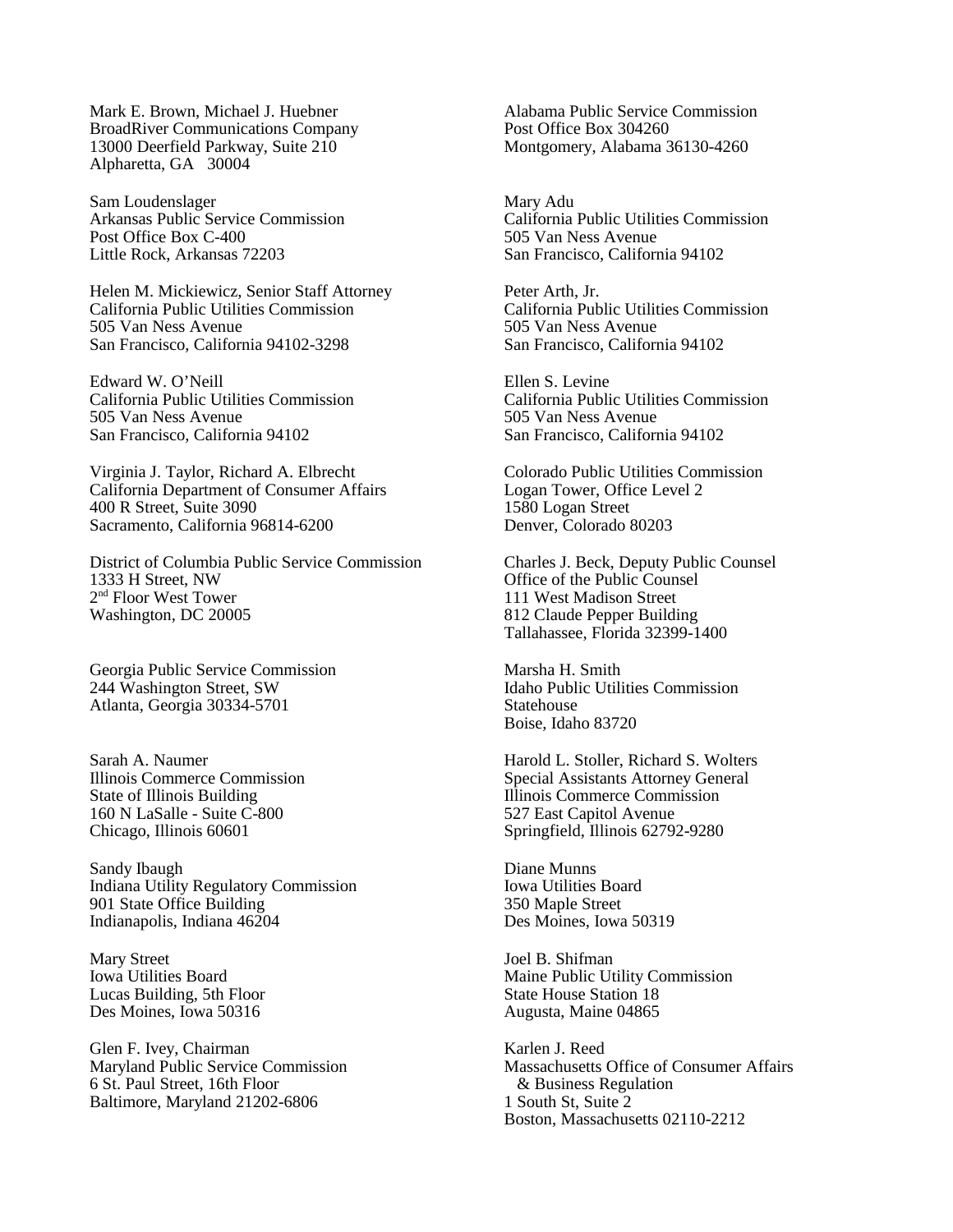Mark E. Brown, Michael J. Huebner BroadRiver Communications Company 13000 Deerfield Parkway, Suite 210 Alpharetta, GA 30004

Sam Loudenslager Arkansas Public Service Commission Post Office Box C-400 Little Rock, Arkansas 72203

Helen M. Mickiewicz, Senior Staff Attorney California Public Utilities Commission 505 Van Ness Avenue San Francisco, California 94102-3298

Edward W. O'Neill California Public Utilities Commission 505 Van Ness Avenue San Francisco, California 94102

Virginia J. Taylor, Richard A. Elbrecht California Department of Consumer Affairs 400 R Street, Suite 3090 Sacramento, California 96814-6200

District of Columbia Public Service Commission 1333 H Street, NW 2nd Floor West Tower Washington, DC 20005

Georgia Public Service Commission 244 Washington Street, SW Atlanta, Georgia 30334-5701

Sarah A. Naumer Illinois Commerce Commission State of Illinois Building 160 N LaSalle - Suite C-800 Chicago, Illinois 60601

Sandy Ibaugh Indiana Utility Regulatory Commission 901 State Office Building Indianapolis, Indiana 46204

Mary Street Iowa Utilities Board Lucas Building, 5th Floor Des Moines, Iowa 50316

Glen F. Ivey, Chairman Maryland Public Service Commission 6 St. Paul Street, 16th Floor Baltimore, Maryland 21202-6806

Alabama Public Service Commission Post Office Box 304260 Montgomery, Alabama 36130-4260

Mary Adu California Public Utilities Commission 505 Van Ness Avenue San Francisco, California 94102

Peter Arth, Jr. California Public Utilities Commission 505 Van Ness Avenue San Francisco, California 94102

Ellen S. Levine California Public Utilities Commission 505 Van Ness Avenue San Francisco, California 94102

Colorado Public Utilities Commission Logan Tower, Office Level 2 1580 Logan Street Denver, Colorado 80203

Charles J. Beck, Deputy Public Counsel Office of the Public Counsel 111 West Madison Street 812 Claude Pepper Building Tallahassee, Florida 32399-1400

Marsha H. Smith Idaho Public Utilities Commission Statehouse Boise, Idaho 83720

Harold L. Stoller, Richard S. Wolters Special Assistants Attorney General Illinois Commerce Commission 527 East Capitol Avenue Springfield, Illinois 62792-9280

Diane Munns Iowa Utilities Board 350 Maple Street Des Moines, Iowa 50319

Joel B. Shifman Maine Public Utility Commission State House Station 18 Augusta, Maine 04865

Karlen J. Reed Massachusetts Office of Consumer Affairs & Business Regulation 1 South St, Suite 2 Boston, Massachusetts 02110-2212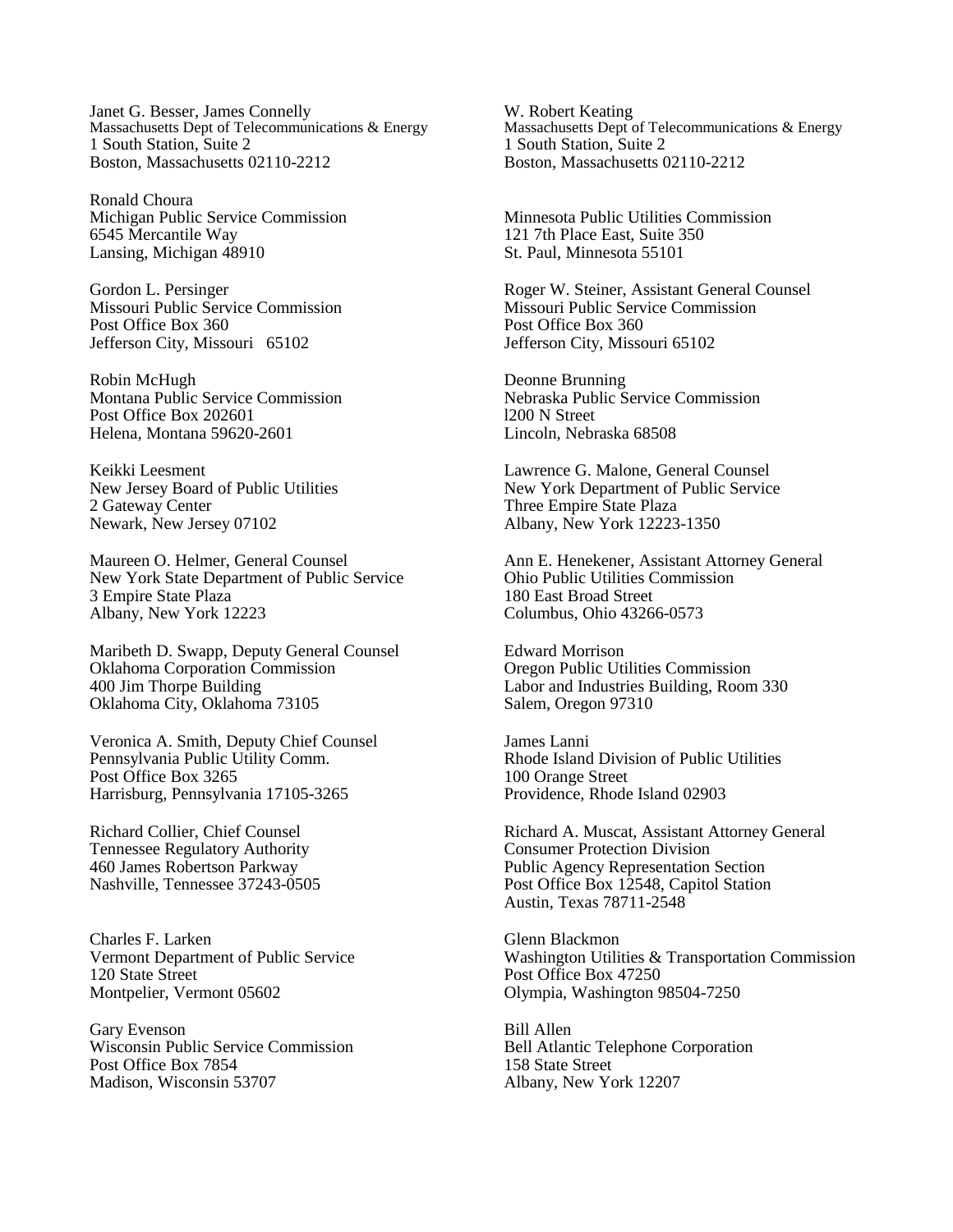Janet G. Besser, James Connelly Massachusetts Dept of Telecommunications & Energy 1 South Station, Suite 2 Boston, Massachusetts 02110-2212

Ronald Choura Michigan Public Service Commission 6545 Mercantile Way Lansing, Michigan 48910

Gordon L. Persinger Missouri Public Service Commission Post Office Box 360 Jefferson City, Missouri 65102

Robin McHugh Montana Public Service Commission Post Office Box 202601 Helena, Montana 59620-2601

Keikki Leesment New Jersey Board of Public Utilities 2 Gateway Center Newark, New Jersey 07102

Maureen O. Helmer, General Counsel New York State Department of Public Service 3 Empire State Plaza Albany, New York 12223

Maribeth D. Swapp, Deputy General Counsel Oklahoma Corporation Commission 400 Jim Thorpe Building Oklahoma City, Oklahoma 73105

Veronica A. Smith, Deputy Chief Counsel Pennsylvania Public Utility Comm. Post Office Box 3265 Harrisburg, Pennsylvania 17105-3265

Richard Collier, Chief Counsel Tennessee Regulatory Authority 460 James Robertson Parkway Nashville, Tennessee 37243-0505

Charles F. Larken Vermont Department of Public Service 120 State Street Montpelier, Vermont 05602

Gary Evenson Wisconsin Public Service Commission Post Office Box 7854 Madison, Wisconsin 53707

W. Robert Keating Massachusetts Dept of Telecommunications & Energy 1 South Station, Suite 2 Boston, Massachusetts 02110-2212

Minnesota Public Utilities Commission 121 7th Place East, Suite 350 St. Paul, Minnesota 55101

Roger W. Steiner, Assistant General Counsel Missouri Public Service Commission Post Office Box 360 Jefferson City, Missouri 65102

Deonne Brunning Nebraska Public Service Commission l200 N Street Lincoln, Nebraska 68508

Lawrence G. Malone, General Counsel New York Department of Public Service Three Empire State Plaza Albany, New York 12223-1350

Ann E. Henekener, Assistant Attorney General Ohio Public Utilities Commission 180 East Broad Street Columbus, Ohio 43266-0573

Edward Morrison Oregon Public Utilities Commission Labor and Industries Building, Room 330 Salem, Oregon 97310

James Lanni Rhode Island Division of Public Utilities 100 Orange Street Providence, Rhode Island 02903

Richard A. Muscat, Assistant Attorney General Consumer Protection Division Public Agency Representation Section Post Office Box 12548, Capitol Station Austin, Texas 78711-2548

Glenn Blackmon Washington Utilities & Transportation Commission Post Office Box 47250 Olympia, Washington 98504-7250

Bill Allen Bell Atlantic Telephone Corporation 158 State Street Albany, New York 12207